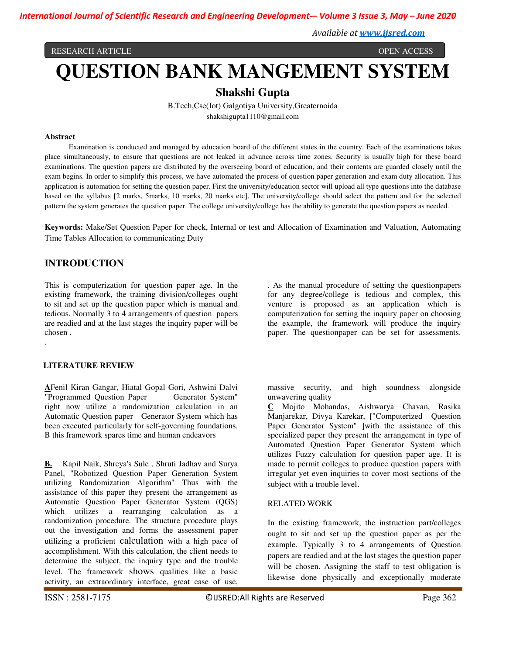*International Journal of Scientific Research and Engineering Development-– Volume 3 Issue 3, May – June 2020*

*Available at www.ijsred.com*

RESEARCH ARTICLE OPEN ACCESS

# **QUESTION BANK MANGEMENT SYSTEM**

# **Shakshi Gupta**

B.Tech,Cse(Iot) Galgotiya University,Greaternoida shakshigupta1110@gmail.com

#### **Abstract**

 Examination is conducted and managed by education board of the different states in the country. Each of the examinations takes place simultaneously, to ensure that questions are not leaked in advance across time zones. Security is usually high for these board examinations. The question papers are distributed by the overseeing board of education, and their contents are guarded closely until the exam begins. In order to simplify this process, we have automated the process of question paper generation and exam duty allocation. This application is automation for setting the question paper. First the university/education sector will upload all type questions into the database based on the syllabus [2 marks, 5marks, 10 marks, 20 marks etc]. The university/college should select the pattern and for the selected pattern the system generates the question paper. The college university/college has the ability to generate the question papers as needed.

**Keywords:** Make/Set Question Paper for check, Internal or test and Allocation of Examination and Valuation, Automating Time Tables Allocation to communicating Duty

# **INTRODUCTION**

This is computerization for question paper age. In the existing framework, the training division/colleges ought to sit and set up the question paper which is manual and tedious. Normally 3 to 4 arrangements of question papers are readied and at the last stages the inquiry paper will be chosen .

#### **LITERATURE REVIEW**

.

**A**Fenil Kiran Gangar, Hiatal Gopal Gori, Ashwini Dalvi "Programmed Question Paper Generator System" right now utilize a randomization calculation in an Automatic Question paper Generator System which has been executed particularly for self-governing foundations. B this framework spares time and human endeavors

**B.** Kapil Naik, Shreya's Sule , Shruti Jadhav and Surya Panel, "Robotized Question Paper Generation System utilizing Randomization Algorithm" Thus with the assistance of this paper they present the arrangement as Automatic Question Paper Generator System (QGS) which utilizes a rearranging calculation as a randomization procedure. The structure procedure plays out the investigation and forms the assessment paper utilizing a proficient calculation with a high pace of accomplishment. With this calculation, the client needs to determine the subject, the inquiry type and the trouble level. The framework shows qualities like a basic activity, an extraordinary interface, great ease of use,

. As the manual procedure of setting the questionpapers for any degree/college is tedious and complex, this venture is proposed as an application which is computerization for setting the inquiry paper on choosing the example, the framework will produce the inquiry paper. The questionpaper can be set for assessments.

massive security, and high soundness alongside unwavering quality

**C** Mojito Mohandas, Aishwarya Chavan, Rasika Manjarekar, Divya Karekar, ["Computerized Question Paper Generator System" ]with the assistance of this specialized paper they present the arrangement in type of Automated Question Paper Generator System which utilizes Fuzzy calculation for question paper age. It is made to permit colleges to produce question papers with irregular yet even inquiries to cover most sections of the subject with a trouble level.

#### RELATED WORK

In the existing framework, the instruction part/colleges ought to sit and set up the question paper as per the example. Typically 3 to 4 arrangements of Question papers are readied and at the last stages the question paper will be chosen. Assigning the staff to test obligation is likewise done physically and exceptionally moderate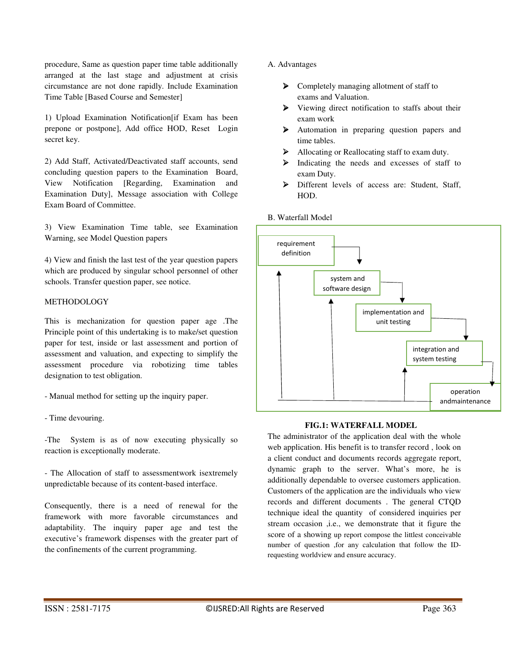procedure, Same as question paper time table additionally arranged at the last stage and adjustment at crisis circumstance are not done rapidly. Include Examination Time Table [Based Course and Semester]

1) Upload Examination Notification[if Exam has been prepone or postpone], Add office HOD, Reset Login secret key.

2) Add Staff, Activated/Deactivated staff accounts, send concluding question papers to the Examination Board, View Notification [Regarding, Examination and Examination Duty], Message association with College Exam Board of Committee.

3) View Examination Time table, see Examination Warning, see Model Question papers

4) View and finish the last test of the year question papers which are produced by singular school personnel of other schools. Transfer question paper, see notice.

## METHODOLOGY

This is mechanization for question paper age .The Principle point of this undertaking is to make/set question paper for test, inside or last assessment and portion of assessment and valuation, and expecting to simplify the assessment procedure via robotizing time tables designation to test obligation.

- Manual method for setting up the inquiry paper.
- Time devouring.

-The System is as of now executing physically so reaction is exceptionally moderate.

- The Allocation of staff to assessmentwork isextremely unpredictable because of its content-based interface.

Consequently, there is a need of renewal for the framework with more favorable circumstances and adaptability. The inquiry paper age and test the executive's framework dispenses with the greater part of the confinements of the current programming.

## A. Advantages

- $\triangleright$  Completely managing allotment of staff to exams and Valuation.
- Viewing direct notification to staffs about their exam work
- Automation in preparing question papers and time tables.
- Allocating or Reallocating staff to exam duty.
- > Indicating the needs and excesses of staff to exam Duty.
- Different levels of access are: Student, Staff, HOD.

#### B. Waterfall Model



### **FIG.1: WATERFALL MODEL**

The administrator of the application deal with the whole web application. His benefit is to transfer record , look on a client conduct and documents records aggregate report, dynamic graph to the server. What's more, he is additionally dependable to oversee customers application. Customers of the application are the individuals who view records and different documents . The general CTQD technique ideal the quantity of considered inquiries per stream occasion ,i.e., we demonstrate that it figure the score of a showing up report compose the littlest conceivable number of question ,for any calculation that follow the IDrequesting worldview and ensure accuracy.